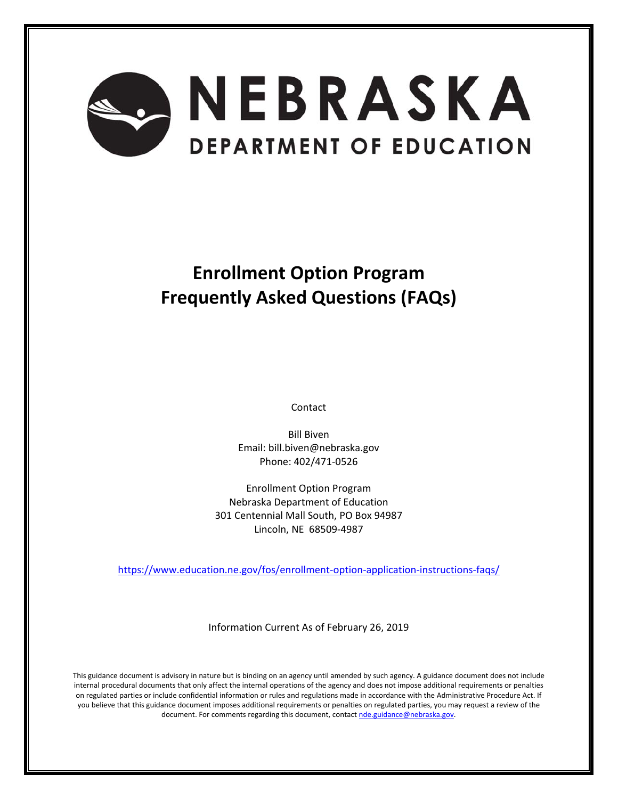

# **Enrollment Option Program Frequently Asked Questions (FAQs)**

Contact

Bill Biven Email: bill.biven@nebraska.gov Phone: 402/471‐0526

Enrollment Option Program Nebraska Department of Education 301 Centennial Mall South, PO Box 94987 Lincoln, NE 68509‐4987

https://www.education.ne.gov/fos/enrollment‐option‐application‐instructions‐faqs/

Information Current As of February 26, 2019

This guidance document is advisory in nature but is binding on an agency until amended by such agency. A guidance document does not include internal procedural documents that only affect the internal operations of the agency and does not impose additional requirements or penalties on regulated parties or include confidential information or rules and regulations made in accordance with the Administrative Procedure Act. If you believe that this guidance document imposes additional requirements or penalties on regulated parties, you may request a review of the document. For comments regarding this document, contact nde.guidance@nebraska.gov.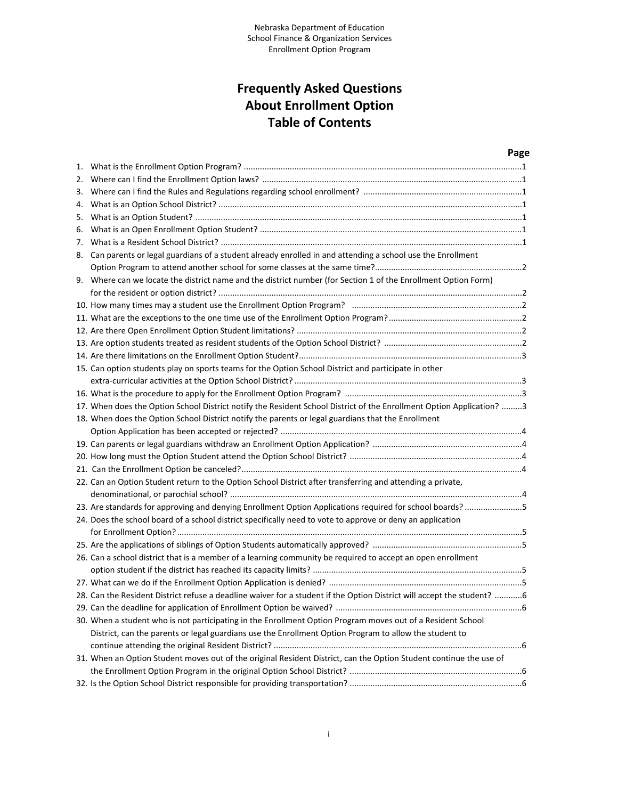# **Frequently Asked Questions About Enrollment Option Table of Contents**

|    |                                                                                                                         | Page |
|----|-------------------------------------------------------------------------------------------------------------------------|------|
|    |                                                                                                                         |      |
| 2. |                                                                                                                         |      |
| 3. |                                                                                                                         |      |
| 4. |                                                                                                                         |      |
| 5. |                                                                                                                         |      |
| 6. |                                                                                                                         |      |
| 7. |                                                                                                                         |      |
| 8. | Can parents or legal guardians of a student already enrolled in and attending a school use the Enrollment               |      |
|    |                                                                                                                         |      |
|    | 9. Where can we locate the district name and the district number (for Section 1 of the Enrollment Option Form)          |      |
|    |                                                                                                                         |      |
|    |                                                                                                                         |      |
|    |                                                                                                                         |      |
|    |                                                                                                                         |      |
|    |                                                                                                                         |      |
|    |                                                                                                                         |      |
|    | 15. Can option students play on sports teams for the Option School District and participate in other                    |      |
|    |                                                                                                                         |      |
|    |                                                                                                                         |      |
|    | 17. When does the Option School District notify the Resident School District of the Enrollment Option Application? 3    |      |
|    | 18. When does the Option School District notify the parents or legal guardians that the Enrollment                      |      |
|    |                                                                                                                         |      |
|    |                                                                                                                         |      |
|    |                                                                                                                         |      |
|    |                                                                                                                         |      |
|    | 22. Can an Option Student return to the Option School District after transferring and attending a private,              |      |
|    |                                                                                                                         |      |
|    | 23. Are standards for approving and denying Enrollment Option Applications required for school boards?5                 |      |
|    | 24. Does the school board of a school district specifically need to vote to approve or deny an application              |      |
|    |                                                                                                                         |      |
|    |                                                                                                                         |      |
|    | 26. Can a school district that is a member of a learning community be required to accept an open enrollment             |      |
|    |                                                                                                                         |      |
|    |                                                                                                                         |      |
|    | 28. Can the Resident District refuse a deadline waiver for a student if the Option District will accept the student?  6 |      |
|    |                                                                                                                         |      |
|    | 30. When a student who is not participating in the Enrollment Option Program moves out of a Resident School             |      |
|    | District, can the parents or legal guardians use the Enrollment Option Program to allow the student to                  |      |
|    |                                                                                                                         |      |
|    | 31. When an Option Student moves out of the original Resident District, can the Option Student continue the use of      |      |
|    |                                                                                                                         |      |
|    |                                                                                                                         |      |
|    |                                                                                                                         |      |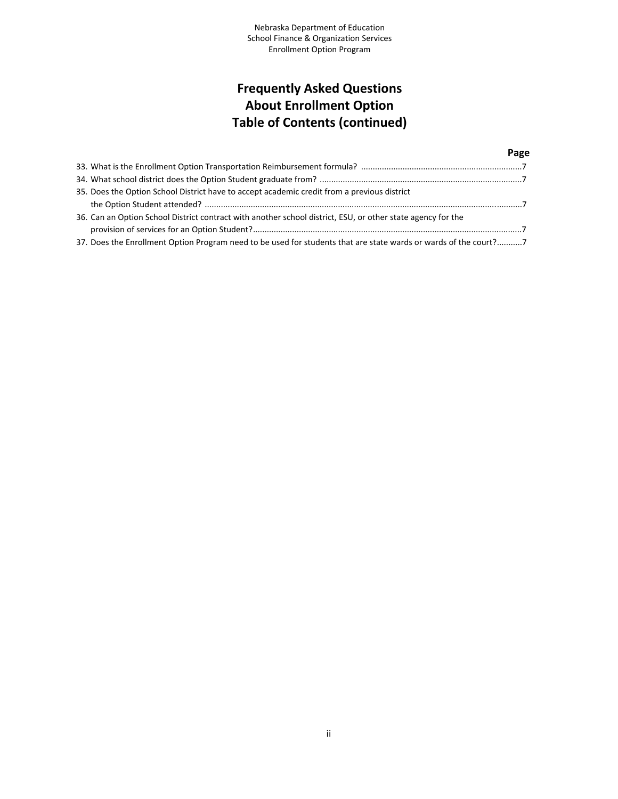# **Frequently Asked Questions About Enrollment Option Table of Contents (continued)**

#### **Page** 33. What is the Enrollment Option Transportation Reimbursement formula? ......................................................................7 34. What school district does the Option Student graduate from? ........................................................................................7 35. Does the Option School District have to accept academic credit from a previous district the Option Student attended? ..........................................................................................................................................7 36. Can an Option School District contract with another school district, ESU, or other state agency for the provision of services for an Option Student?.....................................................................................................................7 37. Does the Enrollment Option Program need to be used for students that are state wards or wards of the court?...........7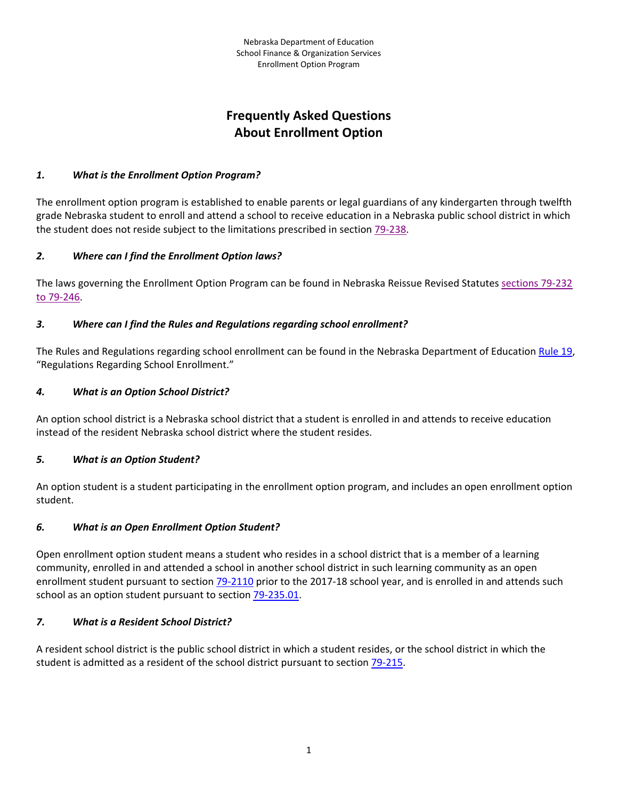# **Frequently Asked Questions About Enrollment Option**

#### *1. What is the Enrollment Option Program?*

The enrollment option program is established to enable parents or legal guardians of any kindergarten through twelfth grade Nebraska student to enroll and attend a school to receive education in a Nebraska public school district in which the student does not reside subject to the limitations prescribed in section 79‐238.

#### *2. Where can I find the Enrollment Option laws?*

The laws governing the Enrollment Option Program can be found in Nebraska Reissue Revised Statutes sections 79‐232 to 79‐246.

#### *3. Where can I find the Rules and Regulations regarding school enrollment?*

The Rules and Regulations regarding school enrollment can be found in the Nebraska Department of Education Rule 19, "Regulations Regarding School Enrollment."

#### *4. What is an Option School District?*

An option school district is a Nebraska school district that a student is enrolled in and attends to receive education instead of the resident Nebraska school district where the student resides.

# *5. What is an Option Student?*

An option student is a student participating in the enrollment option program, and includes an open enrollment option student.

# *6. What is an Open Enrollment Option Student?*

Open enrollment option student means a student who resides in a school district that is a member of a learning community, enrolled in and attended a school in another school district in such learning community as an open enrollment student pursuant to section 79-2110 prior to the 2017-18 school year, and is enrolled in and attends such school as an option student pursuant to section 79‐235.01.

#### *7. What is a Resident School District?*

A resident school district is the public school district in which a student resides, or the school district in which the student is admitted as a resident of the school district pursuant to section 79‐215.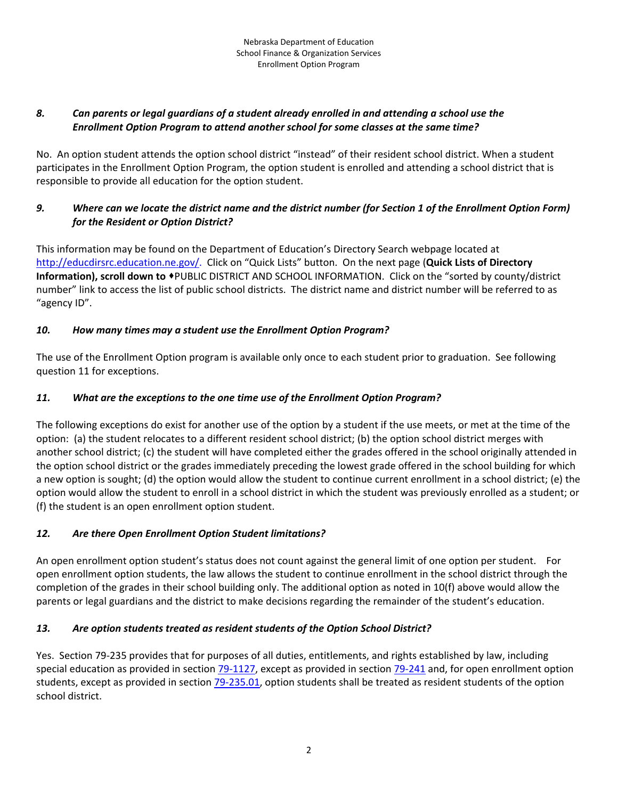#### 8. Can parents or legal guardians of a student already enrolled in and attending a school use the *Enrollment Option Program to attend another school for some classes at the same time?*

No. An option student attends the option school district "instead" of their resident school district. When a student participates in the Enrollment Option Program, the option student is enrolled and attending a school district that is responsible to provide all education for the option student.

### 9. Where can we locate the district name and the district number (for Section 1 of the Enrollment Option Form) *for the Resident or Option District?*

This information may be found on the Department of Education's Directory Search webpage located at http://educdirsrc.education.ne.gov/. Click on "Quick Lists" button. On the next page (**Quick Lists of Directory Information), scroll down to** PUBLIC DISTRICT AND SCHOOL INFORMATION. Click on the "sorted by county/district number" link to access the list of public school districts. The district name and district number will be referred to as "agency ID".

# *10. How many times may a student use the Enrollment Option Program?*

The use of the Enrollment Option program is available only once to each student prior to graduation. See following question 11 for exceptions.

# *11. What are the exceptions to the one time use of the Enrollment Option Program?*

The following exceptions do exist for another use of the option by a student if the use meets, or met at the time of the option: (a) the student relocates to a different resident school district; (b) the option school district merges with another school district; (c) the student will have completed either the grades offered in the school originally attended in the option school district or the grades immediately preceding the lowest grade offered in the school building for which a new option is sought; (d) the option would allow the student to continue current enrollment in a school district; (e) the option would allow the student to enroll in a school district in which the student was previously enrolled as a student; or (f) the student is an open enrollment option student.

# *12. Are there Open Enrollment Option Student limitations?*

An open enrollment option student's status does not count against the general limit of one option per student. For open enrollment option students, the law allows the student to continue enrollment in the school district through the completion of the grades in their school building only. The additional option as noted in 10(f) above would allow the parents or legal guardians and the district to make decisions regarding the remainder of the student's education.

# *13. Are option students treated as resident students of the Option School District?*

Yes. Section 79‐235 provides that for purposes of all duties, entitlements, and rights established by law, including special education as provided in section 79-1127, except as provided in section 79-241 and, for open enrollment option students, except as provided in section 79-235.01, option students shall be treated as resident students of the option school district.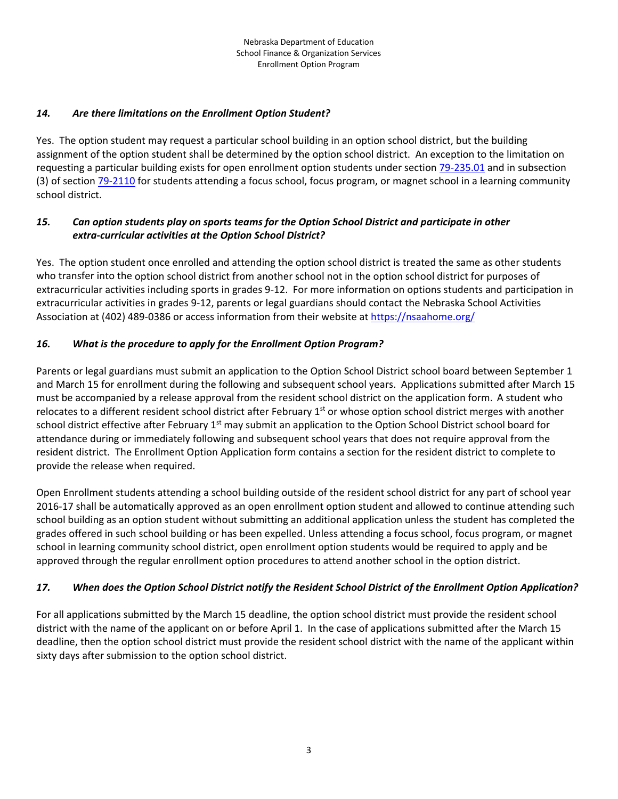#### *14. Are there limitations on the Enrollment Option Student?*

Yes. The option student may request a particular school building in an option school district, but the building assignment of the option student shall be determined by the option school district. An exception to the limitation on requesting a particular building exists for open enrollment option students under section 79‐235.01 and in subsection (3) of section 79-2110 for students attending a focus school, focus program, or magnet school in a learning community school district.

#### *15. Can option students play on sports teams for the Option School District and participate in other extra‐curricular activities at the Option School District?*

Yes. The option student once enrolled and attending the option school district is treated the same as other students who transfer into the option school district from another school not in the option school district for purposes of extracurricular activities including sports in grades 9‐12. For more information on options students and participation in extracurricular activities in grades 9‐12, parents or legal guardians should contact the Nebraska School Activities Association at (402) 489‐0386 or access information from their website at https://nsaahome.org/

#### *16. What is the procedure to apply for the Enrollment Option Program?*

Parents or legal guardians must submit an application to the Option School District school board between September 1 and March 15 for enrollment during the following and subsequent school years. Applications submitted after March 15 must be accompanied by a release approval from the resident school district on the application form. A student who relocates to a different resident school district after February  $1<sup>st</sup>$  or whose option school district merges with another school district effective after February  $1<sup>st</sup>$  may submit an application to the Option School District school board for attendance during or immediately following and subsequent school years that does not require approval from the resident district. The Enrollment Option Application form contains a section for the resident district to complete to provide the release when required.

Open Enrollment students attending a school building outside of the resident school district for any part of school year 2016‐17 shall be automatically approved as an open enrollment option student and allowed to continue attending such school building as an option student without submitting an additional application unless the student has completed the grades offered in such school building or has been expelled. Unless attending a focus school, focus program, or magnet school in learning community school district, open enrollment option students would be required to apply and be approved through the regular enrollment option procedures to attend another school in the option district.

#### 17. When does the Option School District notify the Resident School District of the Enrollment Option Application?

For all applications submitted by the March 15 deadline, the option school district must provide the resident school district with the name of the applicant on or before April 1. In the case of applications submitted after the March 15 deadline, then the option school district must provide the resident school district with the name of the applicant within sixty days after submission to the option school district.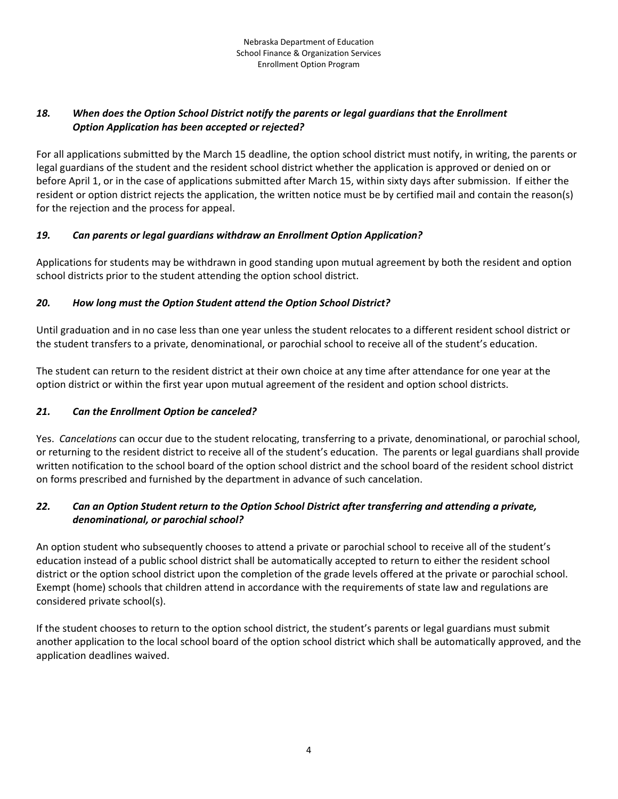#### *18. When does the Option School District notify the parents or legal guardians that the Enrollment Option Application has been accepted or rejected?*

For all applications submitted by the March 15 deadline, the option school district must notify, in writing, the parents or legal guardians of the student and the resident school district whether the application is approved or denied on or before April 1, or in the case of applications submitted after March 15, within sixty days after submission. If either the resident or option district rejects the application, the written notice must be by certified mail and contain the reason(s) for the rejection and the process for appeal.

#### *19. Can parents or legal guardians withdraw an Enrollment Option Application?*

Applications for students may be withdrawn in good standing upon mutual agreement by both the resident and option school districts prior to the student attending the option school district.

# *20. How long must the Option Student attend the Option School District?*

Until graduation and in no case less than one year unless the student relocates to a different resident school district or the student transfers to a private, denominational, or parochial school to receive all of the student's education.

The student can return to the resident district at their own choice at any time after attendance for one year at the option district or within the first year upon mutual agreement of the resident and option school districts.

# *21. Can the Enrollment Option be canceled?*

Yes. *Cancelations* can occur due to the student relocating, transferring to a private, denominational, or parochial school, or returning to the resident district to receive all of the student's education. The parents or legal guardians shall provide written notification to the school board of the option school district and the school board of the resident school district on forms prescribed and furnished by the department in advance of such cancelation.

#### 22. Can an Option Student return to the Option School District after transferring and attending a private, *denominational, or parochial school?*

An option student who subsequently chooses to attend a private or parochial school to receive all of the student's education instead of a public school district shall be automatically accepted to return to either the resident school district or the option school district upon the completion of the grade levels offered at the private or parochial school. Exempt (home) schools that children attend in accordance with the requirements of state law and regulations are considered private school(s).

If the student chooses to return to the option school district, the student's parents or legal guardians must submit another application to the local school board of the option school district which shall be automatically approved, and the application deadlines waived.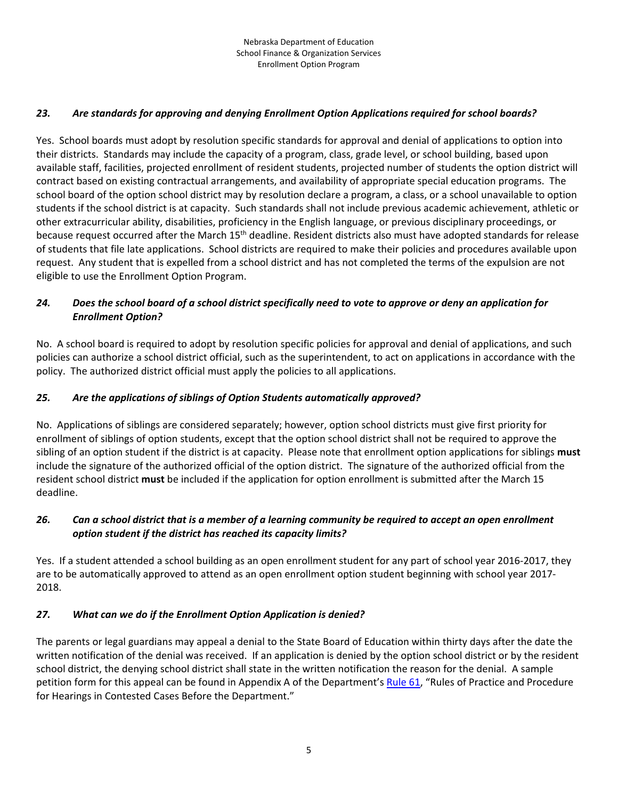#### *23. Are standards for approving and denying Enrollment Option Applications required for school boards?*

Yes. School boards must adopt by resolution specific standards for approval and denial of applications to option into their districts. Standards may include the capacity of a program, class, grade level, or school building, based upon available staff, facilities, projected enrollment of resident students, projected number of students the option district will contract based on existing contractual arrangements, and availability of appropriate special education programs. The school board of the option school district may by resolution declare a program, a class, or a school unavailable to option students if the school district is at capacity. Such standards shall not include previous academic achievement, athletic or other extracurricular ability, disabilities, proficiency in the English language, or previous disciplinary proceedings, or because request occurred after the March  $15<sup>th</sup>$  deadline. Resident districts also must have adopted standards for release of students that file late applications. School districts are required to make their policies and procedures available upon request. Any student that is expelled from a school district and has not completed the terms of the expulsion are not eligible to use the Enrollment Option Program.

#### 24. Does the school board of a school district specifically need to vote to approve or deny an application for *Enrollment Option?*

No. A school board is required to adopt by resolution specific policies for approval and denial of applications, and such policies can authorize a school district official, such as the superintendent, to act on applications in accordance with the policy. The authorized district official must apply the policies to all applications.

#### *25. Are the applications of siblings of Option Students automatically approved?*

No. Applications of siblings are considered separately; however, option school districts must give first priority for enrollment of siblings of option students, except that the option school district shall not be required to approve the sibling of an option student if the district is at capacity. Please note that enrollment option applications for siblings **must** include the signature of the authorized official of the option district. The signature of the authorized official from the resident school district **must** be included if the application for option enrollment is submitted after the March 15 deadline.

#### 26. Can a school district that is a member of a learning community be required to accept an open enrollment *option student if the district has reached its capacity limits?*

Yes. If a student attended a school building as an open enrollment student for any part of school year 2016‐2017, they are to be automatically approved to attend as an open enrollment option student beginning with school year 2017‐ 2018.

#### *27. What can we do if the Enrollment Option Application is denied?*

The parents or legal guardians may appeal a denial to the State Board of Education within thirty days after the date the written notification of the denial was received. If an application is denied by the option school district or by the resident school district, the denying school district shall state in the written notification the reason for the denial. A sample petition form for this appeal can be found in Appendix A of the Department's Rule 61, "Rules of Practice and Procedure for Hearings in Contested Cases Before the Department."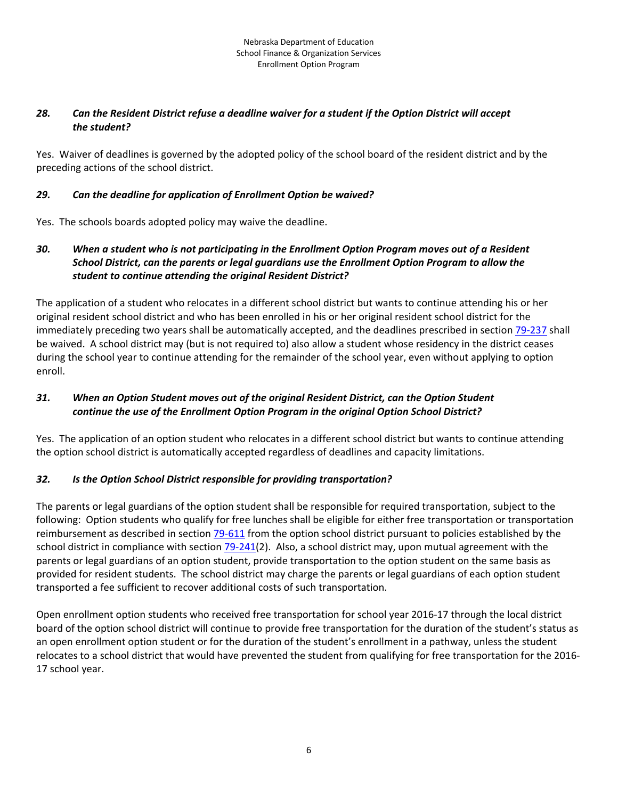#### 28. Can the Resident District refuse a deadline waiver for a student if the Option District will accept *the student?*

Yes. Waiver of deadlines is governed by the adopted policy of the school board of the resident district and by the preceding actions of the school district.

#### *29. Can the deadline for application of Enrollment Option be waived?*

Yes. The schools boards adopted policy may waive the deadline.

#### 30. When a student who is not participating in the Enrollment Option Program moves out of a Resident *School District, can the parents or legal guardians use the Enrollment Option Program to allow the student to continue attending the original Resident District?*

The application of a student who relocates in a different school district but wants to continue attending his or her original resident school district and who has been enrolled in his or her original resident school district for the immediately preceding two years shall be automatically accepted, and the deadlines prescribed in section 79‐237 shall be waived. A school district may (but is not required to) also allow a student whose residency in the district ceases during the school year to continue attending for the remainder of the school year, even without applying to option enroll.

#### *31. When an Option Student moves out of the original Resident District, can the Option Student continue the use of the Enrollment Option Program in the original Option School District?*

Yes. The application of an option student who relocates in a different school district but wants to continue attending the option school district is automatically accepted regardless of deadlines and capacity limitations.

# *32. Is the Option School District responsible for providing transportation?*

The parents or legal guardians of the option student shall be responsible for required transportation, subject to the following: Option students who qualify for free lunches shall be eligible for either free transportation or transportation reimbursement as described in section 79-611 from the option school district pursuant to policies established by the school district in compliance with section  $79-241(2)$ . Also, a school district may, upon mutual agreement with the parents or legal guardians of an option student, provide transportation to the option student on the same basis as provided for resident students. The school district may charge the parents or legal guardians of each option student transported a fee sufficient to recover additional costs of such transportation.

Open enrollment option students who received free transportation for school year 2016‐17 through the local district board of the option school district will continue to provide free transportation for the duration of the student's status as an open enrollment option student or for the duration of the student's enrollment in a pathway, unless the student relocates to a school district that would have prevented the student from qualifying for free transportation for the 2016‐ 17 school year.